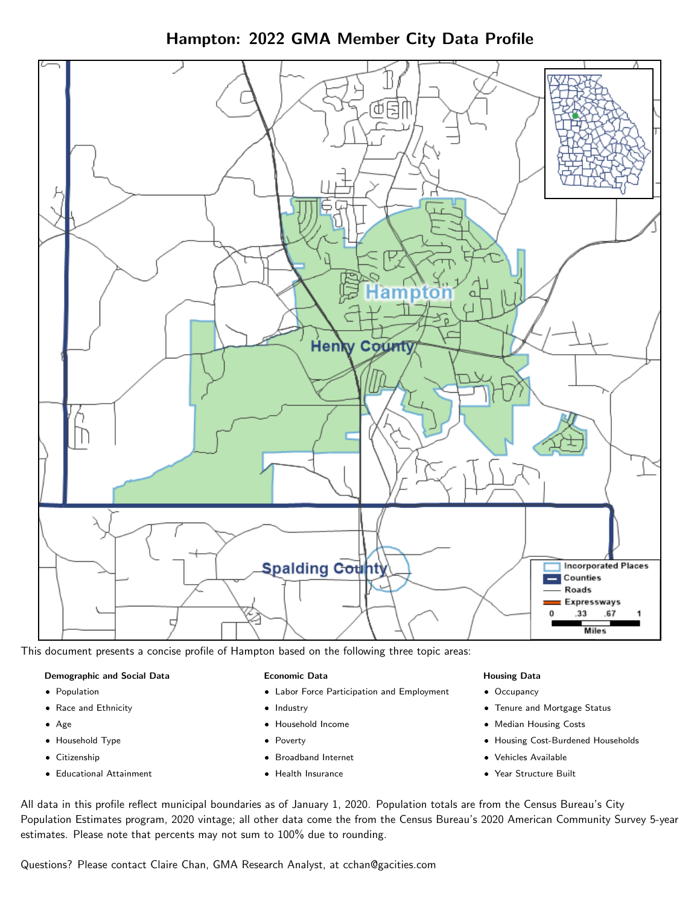Hampton: 2022 GMA Member City Data Profile



This document presents a concise profile of Hampton based on the following three topic areas:

### Demographic and Social Data

- **•** Population
- Race and Ethnicity
- Age
- Household Type
- **Citizenship**
- Educational Attainment

### Economic Data

- Labor Force Participation and Employment
- Industry
- Household Income
- Poverty
- Broadband Internet
- Health Insurance

### Housing Data

- Occupancy
- Tenure and Mortgage Status
- Median Housing Costs
- Housing Cost-Burdened Households
- Vehicles Available
- Year Structure Built

All data in this profile reflect municipal boundaries as of January 1, 2020. Population totals are from the Census Bureau's City Population Estimates program, 2020 vintage; all other data come the from the Census Bureau's 2020 American Community Survey 5-year estimates. Please note that percents may not sum to 100% due to rounding.

Questions? Please contact Claire Chan, GMA Research Analyst, at [cchan@gacities.com.](mailto:cchan@gacities.com)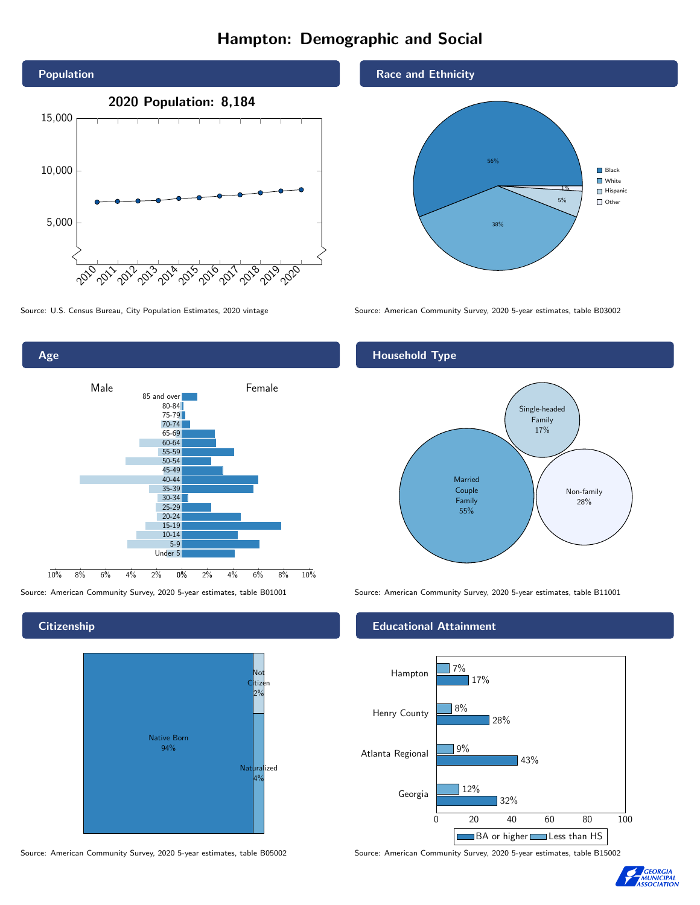# Hampton: Demographic and Social





## **Citizenship**



Source: American Community Survey, 2020 5-year estimates, table B05002 Source: American Community Survey, 2020 5-year estimates, table B15002

### Race and Ethnicity



Source: U.S. Census Bureau, City Population Estimates, 2020 vintage Source: American Community Survey, 2020 5-year estimates, table B03002

## Household Type



Source: American Community Survey, 2020 5-year estimates, table B01001 Source: American Community Survey, 2020 5-year estimates, table B11001

### Educational Attainment



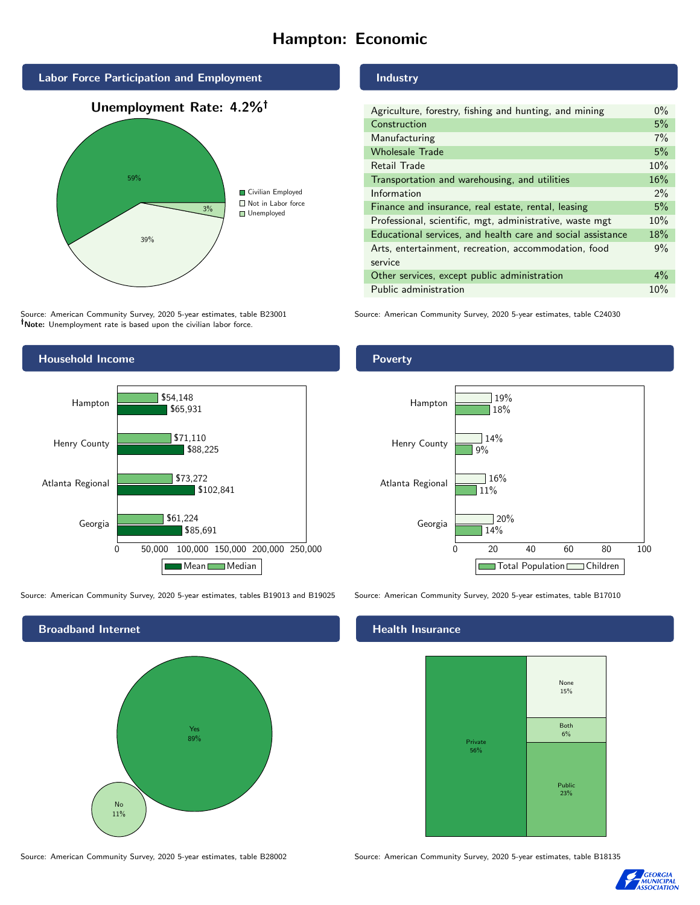# Hampton: Economic



Source: American Community Survey, 2020 5-year estimates, table B23001 Note: Unemployment rate is based upon the civilian labor force.



Source: American Community Survey, 2020 5-year estimates, tables B19013 and B19025 Source: American Community Survey, 2020 5-year estimates, table B17010



## Industry

Poverty

| Agriculture, forestry, fishing and hunting, and mining      | $0\%$ |
|-------------------------------------------------------------|-------|
| Construction                                                | 5%    |
| Manufacturing                                               | $7\%$ |
| <b>Wholesale Trade</b>                                      | 5%    |
| Retail Trade                                                | 10%   |
| Transportation and warehousing, and utilities               | 16%   |
| Information                                                 | $2\%$ |
| Finance and insurance, real estate, rental, leasing         | 5%    |
| Professional, scientific, mgt, administrative, waste mgt    | 10%   |
| Educational services, and health care and social assistance | 18%   |
| Arts, entertainment, recreation, accommodation, food        | 9%    |
| service                                                     |       |
| Other services, except public administration                | $4\%$ |
| Public administration                                       | 10%   |

Source: American Community Survey, 2020 5-year estimates, table C24030





### Health Insurance



Source: American Community Survey, 2020 5-year estimates, table B28002 Source: American Community Survey, 2020 5-year estimates, table B18135